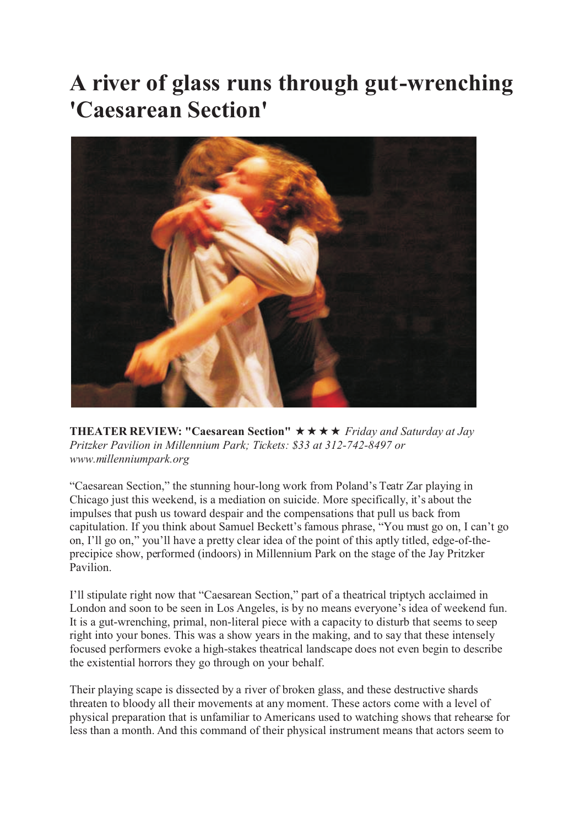## **A river of glass runs through gut-wrenching 'Caesarean Section'**



**THEATER REVIEW: "Caesarean Section"** Friday and Saturday at Jay *Pritzker Pavilion in Millennium Park; Tickets: \$33 at 312-742-8497 or www.millenniumpark.org*

"Caesarean Section," the stunning hour-long work from Poland's Teatr Zar playing in Chicago just this weekend, is a mediation on suicide. More specifically, it's about the impulses that push us toward despair and the compensations that pull us back from capitulation. If you think about Samuel Beckett's famous phrase, "You must go on, I can't go on, I'll go on," you'll have a pretty clear idea of the point of this aptly titled, edge-of-theprecipice show, performed (indoors) in Millennium Park on the stage of the Jay Pritzker Pavilion.

I'll stipulate right now that "Caesarean Section," part of a theatrical triptych acclaimed in London and soon to be seen in Los Angeles, is by no means everyone's idea of weekend fun. It is a gut-wrenching, primal, non-literal piece with a capacity to disturb that seems to seep right into your bones. This was a show years in the making, and to say that these intensely focused performers evoke a high-stakes theatrical landscape does not even begin to describe the existential horrors they go through on your behalf.

Their playing scape is dissected by a river of broken glass, and these destructive shards threaten to bloody all their movements at any moment. These actors come with a level of physical preparation that is unfamiliar to Americans used to watching shows that rehearse for less than a month. And this command of their physical instrument means that actors seem to